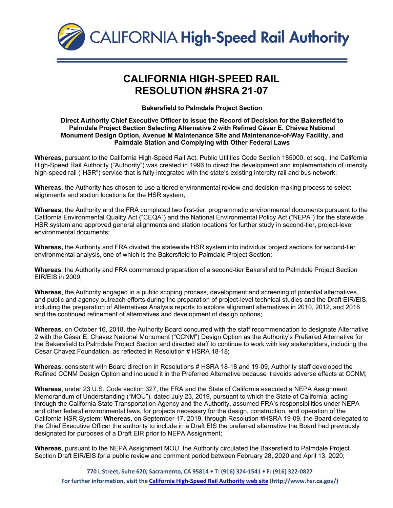

## **CALIFORNIA HIGH-SPEED RAIL RESOLUTION #HSRA 21-07**

**Bakersfield to Palmdale Project Section**

## **Direct Authority Chief Executive Officer to Issue the Record of Decision for the Bakersfield to Palmdale Project Section Selecting Alternative 2 with Refined César E. Chávez National Monument Design Option, Avenue M Maintenance Site and Maintenance-of-Way Facility, and Palmdale Station and Complying with Other Federal Laws**

**Whereas,** pursuant to the California High-Speed Rail Act, Public Utilities Code Section 185000, et seq., the California High-Speed Rail Authority ("Authority") was created in 1996 to direct the development and implementation of intercity high-speed rail ("HSR") service that is fully integrated with the state's existing intercity rail and bus network;

**Whereas**, the Authority has chosen to use a tiered environmental review and decision-making process to select alignments and station locations for the HSR system;

**Whereas**, the Authority and the FRA completed two first-tier, programmatic environmental documents pursuant to the California Environmental Quality Act ("CEQA") and the National Environmental Policy Act ("NEPA") for the statewide HSR system and approved general alignments and station locations for further study in second-tier, project-level environmental documents;

**Whereas,** the Authority and FRA divided the statewide HSR system into individual project sections for second-tier environmental analysis, one of which is the Bakersfield to Palmdale Project Section;

**Whereas**, the Authority and FRA commenced preparation of a second-tier Bakersfield to Palmdale Project Section EIR/EIS in 2009;

**Whereas**, the Authority engaged in a public scoping process, development and screening of potential alternatives, and public and agency outreach efforts during the preparation of project-level technical studies and the Draft EIR/EIS, including the preparation of Alternatives Analysis reports to explore alignment alternatives in 2010, 2012, and 2016 and the continued refinement of alternatives and development of design options;

**Whereas**, on October 16, 2018, the Authority Board concurred with the staff recommendation to designate Alternative 2 with the César E. Chávez National Monument ("CCNM") Design Option as the Authority's Preferred Alternative for the Bakersfield to Palmdale Project Section and directed staff to continue to work with key stakeholders, including the Cesar Chavez Foundation, as reflected in Resolution # HSRA 18-18;

**Whereas**, consistent with Board direction in Resolutions # HSRA 18-18 and 19-09, Authority staff developed the Refined CCNM Design Option and included it in the Preferred Alternative because it avoids adverse effects at CCNM;

**Whereas**, under 23 U.S. Code section 327, the FRA and the State of California executed a NEPA Assignment Memorandum of Understanding ("MOU"), dated July 23, 2019, pursuant to which the State of California, acting through the California State Transportation Agency and the Authority, assumed FRA's responsibilities under NEPA and other federal environmental laws, for projects necessary for the design, construction, and operation of the California HSR System; **Whereas**, on September 17, 2019, through Resolution #HSRA 19-09, the Board delegated to the Chief Executive Officer the authority to include in a Draft EIS the preferred alternative the Board had previously designated for purposes of a Draft EIR prior to NEPA Assignment;

**Whereas**, pursuant to the NEPA Assignment MOU, the Authority circulated the Bakersfield to Palmdale Project Section Draft EIR/EIS for a public review and comment period between February 28, 2020 and April 13, 2020;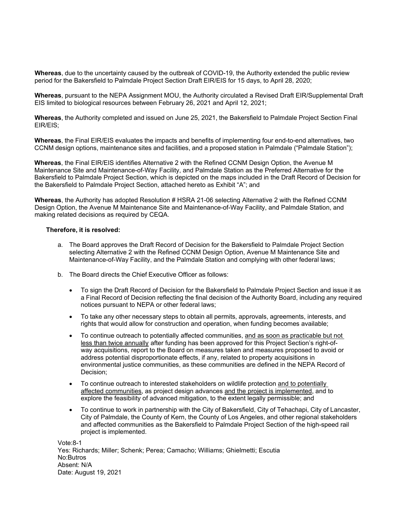**Whereas**, due to the uncertainty caused by the outbreak of COVID-19, the Authority extended the public review period for the Bakersfield to Palmdale Project Section Draft EIR/EIS for 15 days, to April 28, 2020;

**Whereas**, pursuant to the NEPA Assignment MOU, the Authority circulated a Revised Draft EIR/Supplemental Draft EIS limited to biological resources between February 26, 2021 and April 12, 2021;

**Whereas**, the Authority completed and issued on June 25, 2021, the Bakersfield to Palmdale Project Section Final EIR/EIS;

**Whereas**, the Final EIR/EIS evaluates the impacts and benefits of implementing four end-to-end alternatives, two CCNM design options, maintenance sites and facilities, and a proposed station in Palmdale ("Palmdale Station");

**Whereas**, the Final EIR/EIS identifies Alternative 2 with the Refined CCNM Design Option, the Avenue M Maintenance Site and Maintenance-of-Way Facility, and Palmdale Station as the Preferred Alternative for the Bakersfield to Palmdale Project Section, which is depicted on the maps included in the Draft Record of Decision for the Bakersfield to Palmdale Project Section, attached hereto as Exhibit "A"; and

**Whereas**, the Authority has adopted Resolution # HSRA 21-06 selecting Alternative 2 with the Refined CCNM Design Option, the Avenue M Maintenance Site and Maintenance-of-Way Facility, and Palmdale Station, and making related decisions as required by CEQA.

## **Therefore, it is resolved:**

- a. The Board approves the Draft Record of Decision for the Bakersfield to Palmdale Project Section selecting Alternative 2 with the Refined CCNM Design Option, Avenue M Maintenance Site and Maintenance-of-Way Facility, and the Palmdale Station and complying with other federal laws;
- b. The Board directs the Chief Executive Officer as follows:
	- To sign the Draft Record of Decision for the Bakersfield to Palmdale Project Section and issue it as a Final Record of Decision reflecting the final decision of the Authority Board, including any required notices pursuant to NEPA or other federal laws;
	- To take any other necessary steps to obtain all permits, approvals, agreements, interests, and rights that would allow for construction and operation, when funding becomes available;
	- To continue outreach to potentially affected communities, and as soon as practicable but not less than twice annually after funding has been approved for this Project Section's right-ofway acquisitions, report to the Board on measures taken and measures proposed to avoid or address potential disproportionate effects, if any, related to property acquisitions in environmental justice communities, as these communities are defined in the NEPA Record of Decision;
	- To continue outreach to interested stakeholders on wildlife protection and to potentially affected communities, as project design advances and the project is implemented, and to explore the feasibility of advanced mitigation, to the extent legally permissible; and
	- To continue to work in partnership with the City of Bakersfield, City of Tehachapi, City of Lancaster, City of Palmdale, the County of Kern, the County of Los Angeles, and other regional stakeholders and affected communities as the Bakersfield to Palmdale Project Section of the high-speed rail project is implemented.

Vote:8-1 Yes: Richards; Miller; Schenk; Perea; Camacho; Williams; Ghielmetti; Escutia No:Butros Absent: N/A Date: August 19, 2021